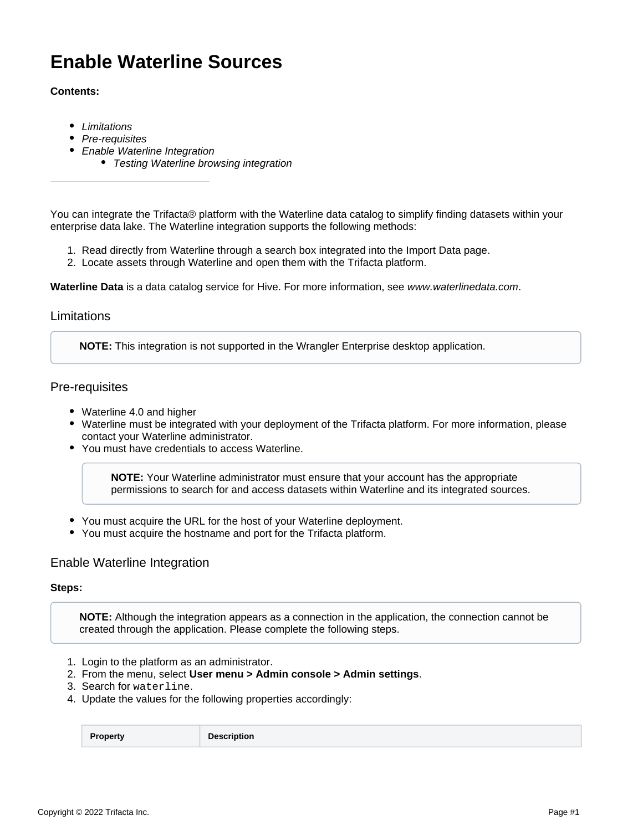# **Enable Waterline Sources**

### **Contents:**

- [Limitations](#page-0-0)
- [Pre-requisites](#page-0-1)
- [Enable Waterline Integration](#page-0-2)
	- [Testing Waterline browsing integration](#page-1-0)

You can integrate the Trifacta® platform with the Waterline data catalog to simplify finding datasets within your enterprise data lake. The Waterline integration supports the following methods:

- 1. Read directly from Waterline through a search box integrated into the Import Data page.
- 2. Locate assets through Waterline and open them with the Trifacta platform.

**Waterline Data** is a data catalog service for Hive. For more information, see [www.waterlinedata.com](http://www.waterlinedata.com).

### <span id="page-0-0"></span>Limitations

**NOTE:** This integration is not supported in the Wrangler Enterprise desktop application.

# <span id="page-0-1"></span>Pre-requisites

- Waterline 4.0 and higher
- Waterline must be integrated with your deployment of the Trifacta platform. For more information, please contact your Waterline administrator.
- You must have credentials to access Waterline.

**NOTE:** Your Waterline administrator must ensure that your account has the appropriate permissions to search for and access datasets within Waterline and its integrated sources.

- You must acquire the URL for the host of your Waterline deployment.
- You must acquire the hostname and port for the Trifacta platform.

# <span id="page-0-2"></span>Enable Waterline Integration

#### **Steps:**

**NOTE:** Although the integration appears as a connection in the application, the connection cannot be created through the application. Please complete the following steps.

- 1. Login to the platform as an administrator.
- 2. From the menu, select **User menu > Admin console > Admin settings**.
- 3. Search for waterline.
- 4. Update the values for the following properties accordingly:

**Property Description**